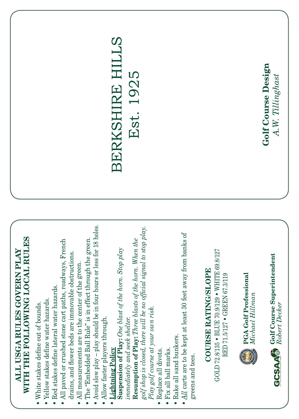## WITH THE FOLLOWING LOCAL RULES **WITH THE FOLLOWING LOCAL RULES** ALL USGA RULES GOVERN PLAY **ALL USGA RULES GOVERN PLAY**

- White stakes define out of bounds. White stakes define out of bounds.
- Yellow stakes define water hazards. Yellow stakes define water hazards.
- Red stakes define lateral water hazards. Red stakes define lateral water hazards.
- All paved or crushed stone cart paths, roadways, French • All paved or crushed stone cart paths, roadways, French drains, and flower beds are immovable obstructions. drains, and flower beds are immovable obstructions.
	- All measurements are to the center of the green. All measurements are to the center of the green.
- The "Embedded Ball Rule" is in effect through the green. The "Embedded Ball Rule" is in effect through the green.
- Avoid slow play play should be in four hours or less for 18 holes. Avoid slow play – play should be in four hours or less for 18 holes.
	- Allow faster players through. Allow faster players through.
		- Lightning Policy **Lightning Policy**

Resumption of Play: Three blasts of the horn. When the **Resumption of Play:** *Three blasts of the horn. When the*  Suspension of Play: One blast of the horn. Stop play **Suspension of Play:** *One blast of the horn. Stop play*  immediately and seek shelter. *immediately and seek shelter.*

*golf shop is closed, there will be no official signal to stop play.*  golf shop is closed, there will be no official signal to stop play. Play golf course at your own risk. *Play golf course at your own risk.*

- Replace all divots. Replace all divots.
- Fix all ball marks. Fix all ball marks.
- Rake all sand bunkers. Rake all sand bunkers.
- *All* carts are to be kept at least 30 feet away from banks of • All carts are to be kept at least 30 feet away from banks of greens and tees. greens and tees.

## **COURSE RATING/SLOPE COURSE RATING/SLOPE**

GOLD 72.8/135 • BLUE 70.9/129 • WHITE 69.8/127 GOLD 72.8/135 • BLUE 70.9/129 • WHITE 69.8/127 RED 71.5/127 • GREEN 67.3/119 RED 71.5/127 • GREEN 67.3/119



**EA Golf Professional PGA Golf Professional** *Michael Hillman*

 $GCSAA$  Golf Course Superintendent **Golf Course Superintendent** *Robert Decker*

## BERKSHIRE HILLS Est. 1925

Golf Course Design **Golf Course Design** A.W. Tillinghast *A.W. Tillinghast*